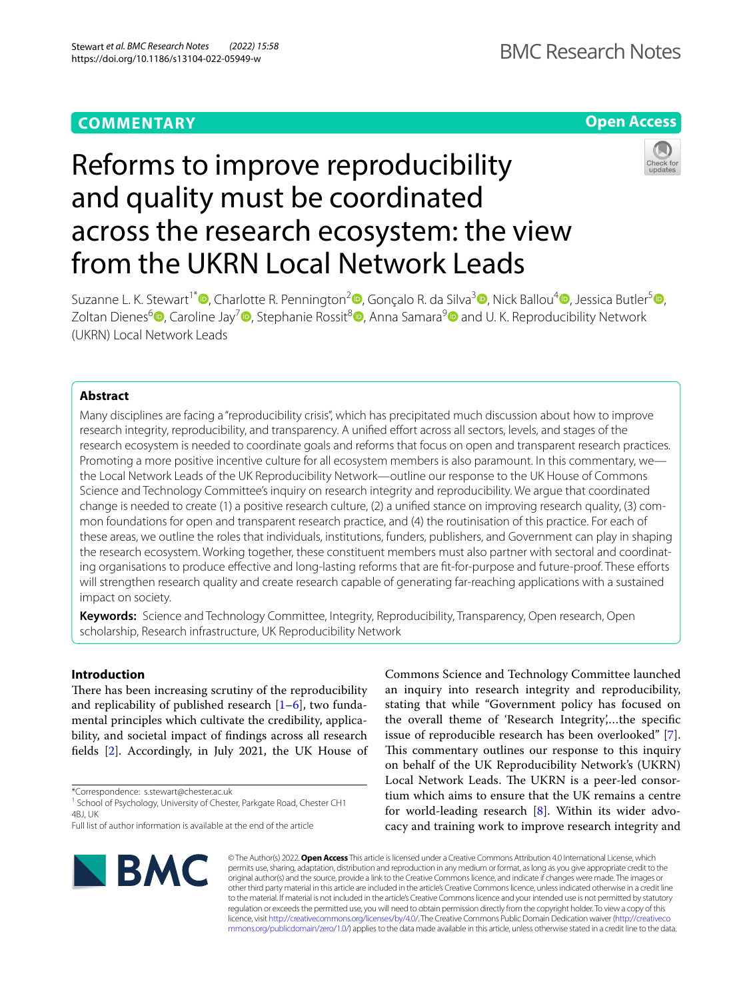# **COMMENTARY**

## **Open Access**

# Reforms to improve reproducibility and quality must be coordinated across the research ecosystem: the view from the UKRN Local Network Leads



Suzanne L. K. Stewart<sup>1\*</sup> [,](http://orcid.org/0000-0002-1252-2709) Charlotte R. Pennington<sup>2</sup> , Gonçalo R. da Silva<sup>3</sup> , Nick Ballou<sup>[4](http://orcid.org/0000-0003-4126-0696)</sup> , Jessica Butler<sup>[5](http://orcid.org/0000-0003-2054-3777)</sup> , Zoltan Dienes<sup>6</sup> [,](http://orcid.org/0000-0001-6640-2289) Caroline Jay<sup>7</sup> , Stephanie Rossit<sup>8</sup> , Anna Samara<sup>[9](http://orcid.org/0000-0001-6503-5181)</sup> and U. K. Reproducibility Network (UKRN) Local Network Leads

## **Abstract**

Many disciplines are facing a "reproducibility crisis", which has precipitated much discussion about how to improve research integrity, reproducibility, and transparency. A unified effort across all sectors, levels, and stages of the research ecosystem is needed to coordinate goals and reforms that focus on open and transparent research practices. Promoting a more positive incentive culture for all ecosystem members is also paramount. In this commentary, we the Local Network Leads of the UK Reproducibility Network—outline our response to the UK House of Commons Science and Technology Committee's inquiry on research integrity and reproducibility. We argue that coordinated change is needed to create (1) a positive research culture, (2) a unifed stance on improving research quality, (3) common foundations for open and transparent research practice, and (4) the routinisation of this practice. For each of these areas, we outline the roles that individuals, institutions, funders, publishers, and Government can play in shaping the research ecosystem. Working together, these constituent members must also partner with sectoral and coordinating organisations to produce effective and long-lasting reforms that are fit-for-purpose and future-proof. These efforts will strengthen research quality and create research capable of generating far-reaching applications with a sustained impact on society.

**Keywords:** Science and Technology Committee, Integrity, Reproducibility, Transparency, Open research, Open scholarship, Research infrastructure, UK Reproducibility Network

## **Introduction**

There has been increasing scrutiny of the reproducibility and replicability of published research  $[1-6]$  $[1-6]$ , two fundamental principles which cultivate the credibility, applicability, and societal impact of fndings across all research felds [[2\]](#page-4-1). Accordingly, in July 2021, the UK House of

\*Correspondence: s.stewart@chester.ac.uk

stating that while "Government policy has focused on the overall theme of 'Research Integrity',…the specifc issue of reproducible research has been overlooked" [\[7](#page-4-2)]. This commentary outlines our response to this inquiry on behalf of the UK Reproducibility Network's (UKRN) Local Network Leads. The UKRN is a peer-led consortium which aims to ensure that the UK remains a centre for world-leading research [[8\]](#page-4-3). Within its wider advocacy and training work to improve research integrity and

Commons Science and Technology Committee launched an inquiry into research integrity and reproducibility,



© The Author(s) 2022. **Open Access** This article is licensed under a Creative Commons Attribution 4.0 International License, which permits use, sharing, adaptation, distribution and reproduction in any medium or format, as long as you give appropriate credit to the original author(s) and the source, provide a link to the Creative Commons licence, and indicate if changes were made. The images or other third party material in this article are included in the article's Creative Commons licence, unless indicated otherwise in a credit line to the material. If material is not included in the article's Creative Commons licence and your intended use is not permitted by statutory regulation or exceeds the permitted use, you will need to obtain permission directly from the copyright holder. To view a copy of this licence, visit [http://creativecommons.org/licenses/by/4.0/.](http://creativecommons.org/licenses/by/4.0/) The Creative Commons Public Domain Dedication waiver ([http://creativeco](http://creativecommons.org/publicdomain/zero/1.0/) [mmons.org/publicdomain/zero/1.0/](http://creativecommons.org/publicdomain/zero/1.0/)) applies to the data made available in this article, unless otherwise stated in a credit line to the data.

<sup>&</sup>lt;sup>1</sup> School of Psychology, University of Chester, Parkgate Road, Chester CH1 4RI I IK

Full list of author information is available at the end of the article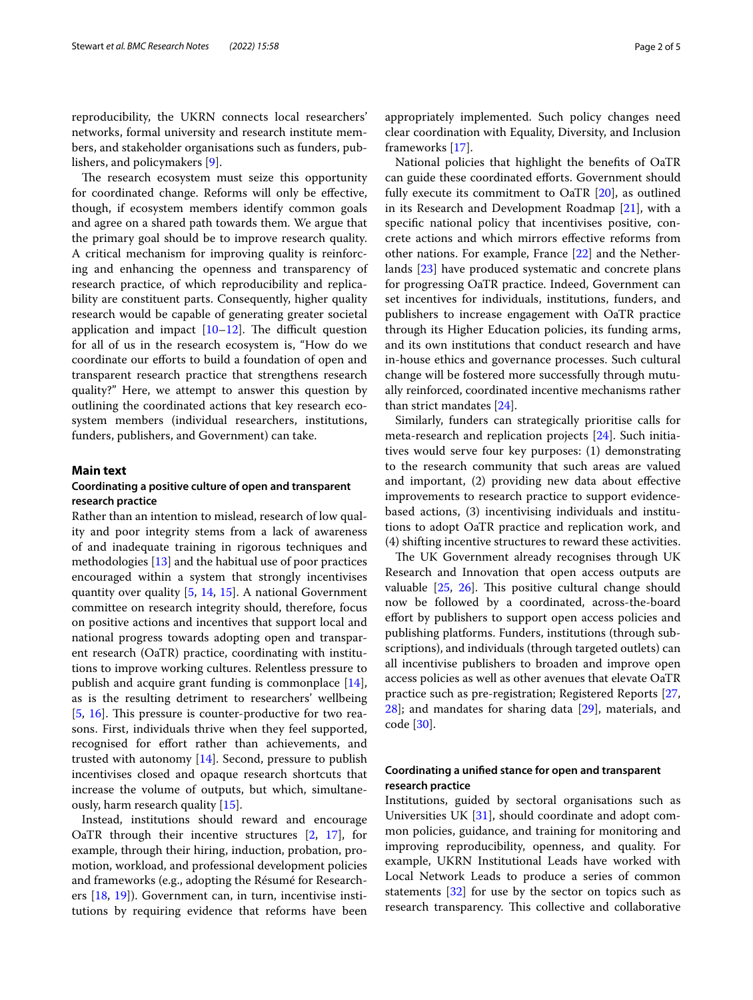reproducibility, the UKRN connects local researchers' networks, formal university and research institute members, and stakeholder organisations such as funders, publishers, and policymakers [\[9](#page-4-4)].

The research ecosystem must seize this opportunity for coordinated change. Reforms will only be efective, though, if ecosystem members identify common goals and agree on a shared path towards them. We argue that the primary goal should be to improve research quality. A critical mechanism for improving quality is reinforcing and enhancing the openness and transparency of research practice, of which reproducibility and replicability are constituent parts. Consequently, higher quality research would be capable of generating greater societal application and impact  $[10-12]$  $[10-12]$ . The difficult question for all of us in the research ecosystem is, "How do we coordinate our efforts to build a foundation of open and transparent research practice that strengthens research quality?" Here, we attempt to answer this question by outlining the coordinated actions that key research ecosystem members (individual researchers, institutions, funders, publishers, and Government) can take.

## **Main text**

## **Coordinating a positive culture of open and transparent research practice**

Rather than an intention to mislead, research of low quality and poor integrity stems from a lack of awareness of and inadequate training in rigorous techniques and methodologies [[13](#page-4-7)] and the habitual use of poor practices encouraged within a system that strongly incentivises quantity over quality [[5,](#page-4-8) [14,](#page-4-9) [15\]](#page-4-10). A national Government committee on research integrity should, therefore, focus on positive actions and incentives that support local and national progress towards adopting open and transparent research (OaTR) practice, coordinating with institutions to improve working cultures. Relentless pressure to publish and acquire grant funding is commonplace [\[14](#page-4-9)], as is the resulting detriment to researchers' wellbeing [[5,](#page-4-8) [16](#page-4-11)]. This pressure is counter-productive for two reasons. First, individuals thrive when they feel supported, recognised for effort rather than achievements, and trusted with autonomy [[14\]](#page-4-9). Second, pressure to publish incentivises closed and opaque research shortcuts that increase the volume of outputs, but which, simultaneously, harm research quality [[15](#page-4-10)].

Instead, institutions should reward and encourage OaTR through their incentive structures [\[2](#page-4-1), [17](#page-4-12)], for example, through their hiring, induction, probation, promotion, workload, and professional development policies and frameworks (e.g., adopting the Résumé for Researchers [\[18,](#page-4-13) [19](#page-4-14)]). Government can, in turn, incentivise institutions by requiring evidence that reforms have been appropriately implemented. Such policy changes need clear coordination with Equality, Diversity, and Inclusion frameworks [[17\]](#page-4-12).

National policies that highlight the benefts of OaTR can guide these coordinated eforts. Government should fully execute its commitment to OaTR [[20\]](#page-4-15), as outlined in its Research and Development Roadmap [\[21](#page-4-16)], with a specifc national policy that incentivises positive, concrete actions and which mirrors efective reforms from other nations. For example, France [[22\]](#page-4-17) and the Netherlands [[23\]](#page-4-18) have produced systematic and concrete plans for progressing OaTR practice. Indeed, Government can set incentives for individuals, institutions, funders, and publishers to increase engagement with OaTR practice through its Higher Education policies, its funding arms, and its own institutions that conduct research and have in-house ethics and governance processes. Such cultural change will be fostered more successfully through mutually reinforced, coordinated incentive mechanisms rather than strict mandates [[24\]](#page-4-19).

Similarly, funders can strategically prioritise calls for meta-research and replication projects [[24\]](#page-4-19). Such initiatives would serve four key purposes: (1) demonstrating to the research community that such areas are valued and important, (2) providing new data about efective improvements to research practice to support evidencebased actions, (3) incentivising individuals and institutions to adopt OaTR practice and replication work, and (4) shifting incentive structures to reward these activities.

The UK Government already recognises through UK Research and Innovation that open access outputs are valuable  $[25, 26]$  $[25, 26]$  $[25, 26]$ . This positive cultural change should now be followed by a coordinated, across-the-board efort by publishers to support open access policies and publishing platforms. Funders, institutions (through subscriptions), and individuals (through targeted outlets) can all incentivise publishers to broaden and improve open access policies as well as other avenues that elevate OaTR practice such as pre-registration; Registered Reports [[27](#page-4-22), [28\]](#page-4-23); and mandates for sharing data [\[29](#page-4-24)], materials, and code [[30](#page-4-25)].

## **Coordinating a unifed stance for open and transparent research practice**

Institutions, guided by sectoral organisations such as Universities UK [[31](#page-4-26)], should coordinate and adopt common policies, guidance, and training for monitoring and improving reproducibility, openness, and quality. For example, UKRN Institutional Leads have worked with Local Network Leads to produce a series of common statements  $[32]$  for use by the sector on topics such as research transparency. This collective and collaborative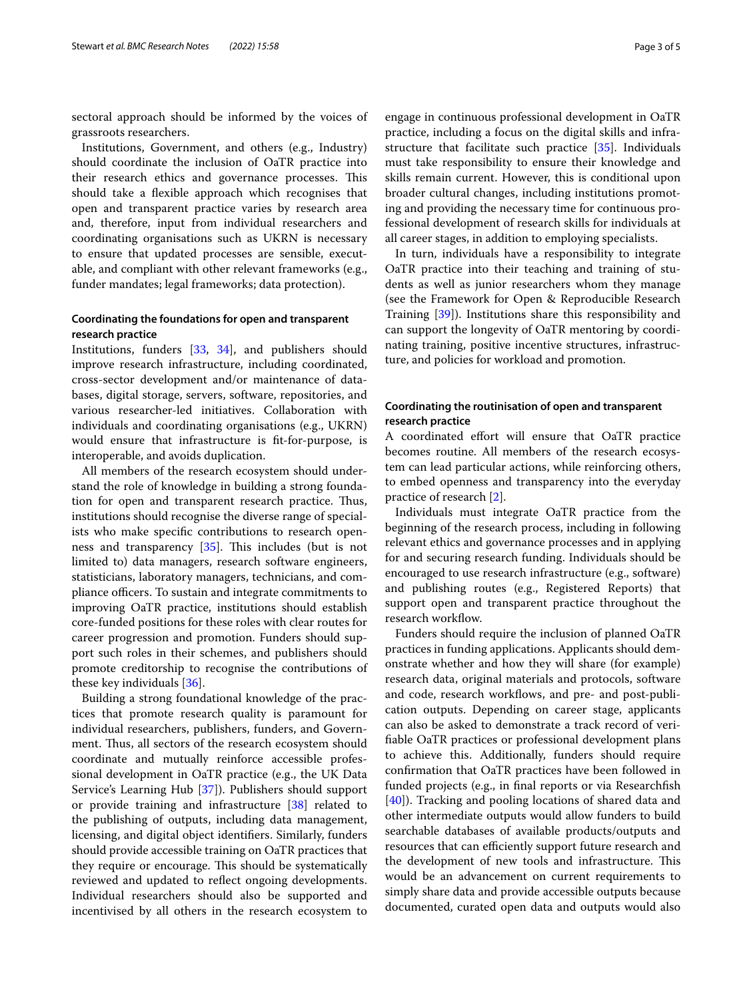sectoral approach should be informed by the voices of grassroots researchers.

Institutions, Government, and others (e.g., Industry) should coordinate the inclusion of OaTR practice into their research ethics and governance processes. This should take a fexible approach which recognises that open and transparent practice varies by research area and, therefore, input from individual researchers and coordinating organisations such as UKRN is necessary to ensure that updated processes are sensible, executable, and compliant with other relevant frameworks (e.g., funder mandates; legal frameworks; data protection).

## **Coordinating the foundations for open and transparent research practice**

Institutions, funders [\[33](#page-4-28), [34](#page-4-29)], and publishers should improve research infrastructure, including coordinated, cross-sector development and/or maintenance of databases, digital storage, servers, software, repositories, and various researcher-led initiatives. Collaboration with individuals and coordinating organisations (e.g., UKRN) would ensure that infrastructure is ft-for-purpose, is interoperable, and avoids duplication.

All members of the research ecosystem should understand the role of knowledge in building a strong foundation for open and transparent research practice. Thus, institutions should recognise the diverse range of specialists who make specifc contributions to research openness and transparency  $[35]$ . This includes (but is not limited to) data managers, research software engineers, statisticians, laboratory managers, technicians, and compliance officers. To sustain and integrate commitments to improving OaTR practice, institutions should establish core-funded positions for these roles with clear routes for career progression and promotion. Funders should support such roles in their schemes, and publishers should promote creditorship to recognise the contributions of these key individuals [[36\]](#page-4-31).

Building a strong foundational knowledge of the practices that promote research quality is paramount for individual researchers, publishers, funders, and Government. Thus, all sectors of the research ecosystem should coordinate and mutually reinforce accessible professional development in OaTR practice (e.g., the UK Data Service's Learning Hub [[37\]](#page-4-32)). Publishers should support or provide training and infrastructure [[38](#page-4-33)] related to the publishing of outputs, including data management, licensing, and digital object identifers. Similarly, funders should provide accessible training on OaTR practices that they require or encourage. This should be systematically reviewed and updated to refect ongoing developments. Individual researchers should also be supported and incentivised by all others in the research ecosystem to engage in continuous professional development in OaTR practice, including a focus on the digital skills and infrastructure that facilitate such practice [[35\]](#page-4-30). Individuals must take responsibility to ensure their knowledge and skills remain current. However, this is conditional upon broader cultural changes, including institutions promoting and providing the necessary time for continuous professional development of research skills for individuals at

In turn, individuals have a responsibility to integrate OaTR practice into their teaching and training of students as well as junior researchers whom they manage (see the Framework for Open & Reproducible Research Training [[39\]](#page-4-34)). Institutions share this responsibility and can support the longevity of OaTR mentoring by coordinating training, positive incentive structures, infrastructure, and policies for workload and promotion.

all career stages, in addition to employing specialists.

## **Coordinating the routinisation of open and transparent research practice**

A coordinated effort will ensure that OaTR practice becomes routine. All members of the research ecosystem can lead particular actions, while reinforcing others, to embed openness and transparency into the everyday practice of research [\[2](#page-4-1)].

Individuals must integrate OaTR practice from the beginning of the research process, including in following relevant ethics and governance processes and in applying for and securing research funding. Individuals should be encouraged to use research infrastructure (e.g., software) and publishing routes (e.g., Registered Reports) that support open and transparent practice throughout the research workflow.

Funders should require the inclusion of planned OaTR practices in funding applications. Applicants should demonstrate whether and how they will share (for example) research data, original materials and protocols, software and code, research workflows, and pre- and post-publication outputs. Depending on career stage, applicants can also be asked to demonstrate a track record of verifable OaTR practices or professional development plans to achieve this. Additionally, funders should require confrmation that OaTR practices have been followed in funded projects (e.g., in fnal reports or via Researchfsh [[40\]](#page-4-35)). Tracking and pooling locations of shared data and other intermediate outputs would allow funders to build searchable databases of available products/outputs and resources that can efficiently support future research and the development of new tools and infrastructure. This would be an advancement on current requirements to simply share data and provide accessible outputs because documented, curated open data and outputs would also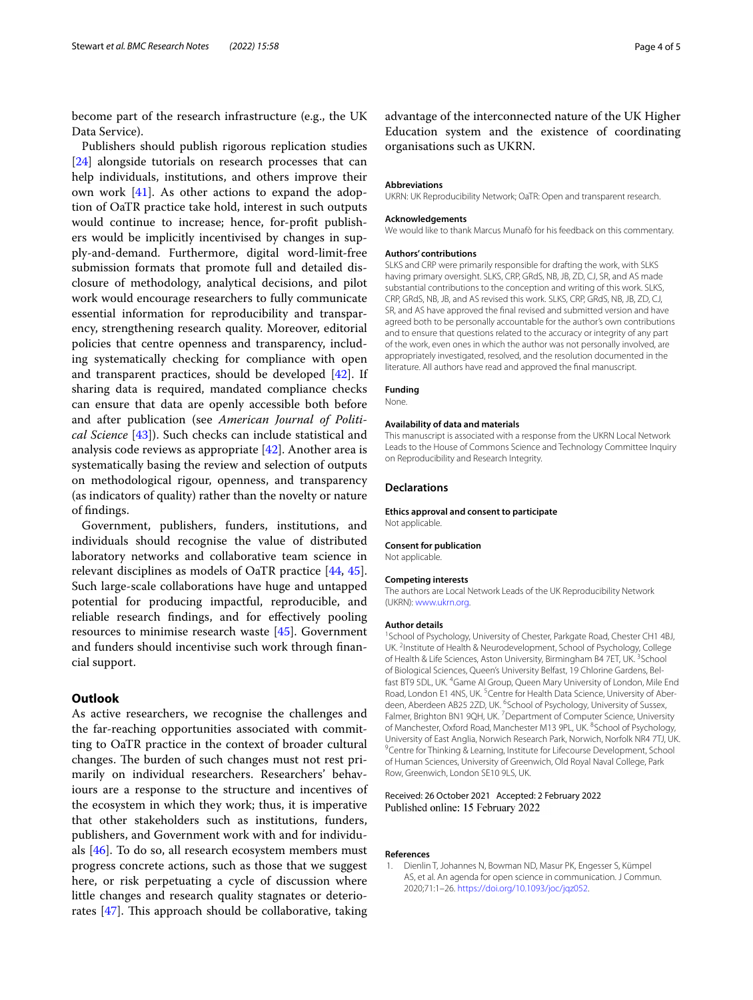become part of the research infrastructure (e.g., the UK Data Service).

Publishers should publish rigorous replication studies [[24\]](#page-4-19) alongside tutorials on research processes that can help individuals, institutions, and others improve their own work [\[41\]](#page-4-36). As other actions to expand the adoption of OaTR practice take hold, interest in such outputs would continue to increase; hence, for-proft publishers would be implicitly incentivised by changes in supply-and-demand. Furthermore, digital word-limit-free submission formats that promote full and detailed disclosure of methodology, analytical decisions, and pilot work would encourage researchers to fully communicate essential information for reproducibility and transparency, strengthening research quality. Moreover, editorial policies that centre openness and transparency, including systematically checking for compliance with open and transparent practices, should be developed [[42\]](#page-4-37). If sharing data is required, mandated compliance checks can ensure that data are openly accessible both before and after publication (see *American Journal of Political Science* [\[43](#page-4-38)]). Such checks can include statistical and analysis code reviews as appropriate [\[42\]](#page-4-37). Another area is systematically basing the review and selection of outputs on methodological rigour, openness, and transparency (as indicators of quality) rather than the novelty or nature of fndings.

Government, publishers, funders, institutions, and individuals should recognise the value of distributed laboratory networks and collaborative team science in relevant disciplines as models of OaTR practice [\[44](#page-4-39), [45](#page-4-40)]. Such large-scale collaborations have huge and untapped potential for producing impactful, reproducible, and reliable research fndings, and for efectively pooling resources to minimise research waste [[45\]](#page-4-40). Government and funders should incentivise such work through fnancial support.

## **Outlook**

As active researchers, we recognise the challenges and the far-reaching opportunities associated with committing to OaTR practice in the context of broader cultural changes. The burden of such changes must not rest primarily on individual researchers. Researchers' behaviours are a response to the structure and incentives of the ecosystem in which they work; thus, it is imperative that other stakeholders such as institutions, funders, publishers, and Government work with and for individuals [[46\]](#page-4-41). To do so, all research ecosystem members must progress concrete actions, such as those that we suggest here, or risk perpetuating a cycle of discussion where little changes and research quality stagnates or deteriorates  $[47]$  $[47]$ . This approach should be collaborative, taking

advantage of the interconnected nature of the UK Higher Education system and the existence of coordinating organisations such as UKRN.

#### **Abbreviations**

UKRN: UK Reproducibility Network; OaTR: Open and transparent research.

#### **Acknowledgements**

We would like to thank Marcus Munafò for his feedback on this commentary.

#### **Authors' contributions**

SLKS and CRP were primarily responsible for drafting the work, with SLKS having primary oversight. SLKS, CRP, GRdS, NB, JB, ZD, CJ, SR, and AS made substantial contributions to the conception and writing of this work. SLKS, CRP, GRdS, NB, JB, and AS revised this work. SLKS, CRP, GRdS, NB, JB, ZD, CJ, SR, and AS have approved the fnal revised and submitted version and have agreed both to be personally accountable for the author's own contributions and to ensure that questions related to the accuracy or integrity of any part of the work, even ones in which the author was not personally involved, are appropriately investigated, resolved, and the resolution documented in the literature. All authors have read and approved the fnal manuscript.

#### **Funding**

None.

#### **Availability of data and materials**

This manuscript is associated with a response from the UKRN Local Network Leads to the House of Commons Science and Technology Committee Inquiry on Reproducibility and Research Integrity.

#### **Declarations**

#### **Ethics approval and consent to participate** Not applicable.

## **Consent for publication**

Not applicable.

## **Competing interests**

The authors are Local Network Leads of the UK Reproducibility Network (UKRN): [www.ukrn.org](http://www.ukrn.org).

#### **Author details**

<sup>1</sup> School of Psychology, University of Chester, Parkgate Road, Chester CH1 4BJ, UK. <sup>2</sup>Institute of Health & Neurodevelopment, School of Psychology, College of Health & Life Sciences, Aston University, Birmingham B4 7ET, UK.<sup>3</sup> School of Biological Sciences, Queen's University Belfast, 19 Chlorine Gardens, Belfast BT9 5DL, UK. <sup>4</sup>Game AI Group, Queen Mary University of London, Mile End Road, London E1 4NS, UK.<sup>5</sup> Centre for Health Data Science, University of Aberdeen, Aberdeen AB25 2ZD, UK. <sup>6</sup>School of Psychology, University of Sussex, Falmer, Brighton BN1 9QH, UK.<sup>7</sup> Department of Computer Science, University of Manchester, Oxford Road, Manchester M13 9PL, UK. <sup>8</sup>School of Psychology, University of East Anglia, Norwich Research Park, Norwich, Norfolk NR4 7TJ, UK. 9 <sup>9</sup> Centre for Thinking & Learning, Institute for Lifecourse Development, School of Human Sciences, University of Greenwich, Old Royal Naval College, Park Row, Greenwich, London SE10 9LS, UK.

#### Received: 26 October 2021 Accepted: 2 February 2022 Published online: 15 February 2022

#### **References**

<span id="page-3-0"></span>1. Dienlin T, Johannes N, Bowman ND, Masur PK, Engesser S, Kümpel AS, et al. An agenda for open science in communication. J Commun. 2020;71:1–26. <https://doi.org/10.1093/joc/jqz052>.